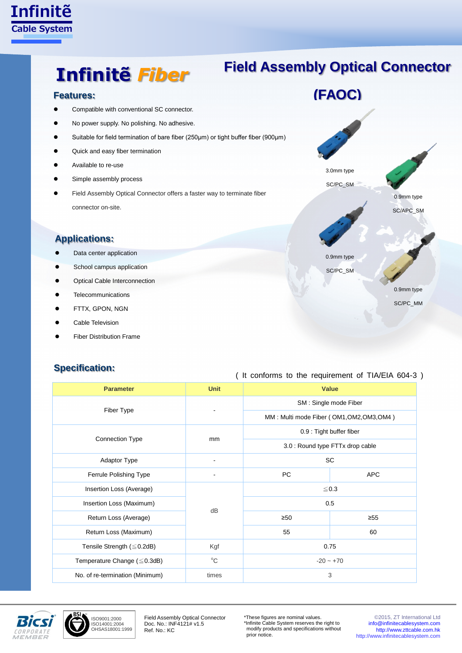

## **Field Assembly Optical Connector**

Compatible with conventional SC connector.

**Infinitẽ** *Fiber*

- No power supply. No polishing. No adhesive.
- Suitable for field termination of bare fiber (250μm) or tight buffer fiber (900μm)
- Quick and easy fiber termination
- Available to re-use
- Simple assembly process
- Field Assembly Optical Connector offers a faster way to terminate fiber connector on-site.

### **Applications:**

- **•** Data center application
- **•** School campus application
- Optical Cable Interconnection
- **•** Telecommunications
- **•** FTTX, GPON, NGN
- Cable Television
- **•** Fiber Distribution Frame

#### **Specification:**



# ( It conforms to the requirement of TIA/EIA 604-3 )

| <b>Parameter</b>                  | <b>Unit</b>              | <b>Value</b>                              |            |
|-----------------------------------|--------------------------|-------------------------------------------|------------|
| Fiber Type                        |                          | SM: Single mode Fiber                     |            |
|                                   |                          | MM: Multi mode Fiber (OM1, OM2, OM3, OM4) |            |
| <b>Connection Type</b>            | mm                       | 0.9 : Tight buffer fiber                  |            |
|                                   |                          | 3.0 : Round type FTTx drop cable          |            |
| Adaptor Type                      | $\overline{\phantom{a}}$ | <b>SC</b>                                 |            |
| Ferrule Polishing Type            |                          | PC.                                       | <b>APC</b> |
| Insertion Loss (Average)          | dB                       | $\leq 0.3$                                |            |
| Insertion Loss (Maximum)          |                          | 0.5                                       |            |
| Return Loss (Average)             |                          | $\geq 50$                                 | $\geq 55$  |
| Return Loss (Maximum)             |                          | 55                                        | 60         |
| Tensile Strength $(\leq 0.2$ dB)  | Kgf                      | 0.75                                      |            |
| Temperature Change $(\leq 0.3dB)$ | $^{\circ}C$              | $-20 - +70$                               |            |
| No. of re-termination (Minimum)   | times                    | 3                                         |            |



ISO9001:2000 ISO14001:2004 OHSAS18001:1999

Field Assembly Optical Connector Doc. No.: INF4121# v1.5 Ref. No.: KC

\*These figures are nominal values. \*Infinite Cable System reserves the right to modify products and specifications without prior notice.

©2015, ZT International Ltd [info@infinitecablesystem.com](mailto:info@infinitecablesystem.com) [http://www.zttcable.com.hk](http://www.zttcable.com.hk/) [http://www.infinitecablesystem.com](http://www.infinitecablesystem.com/)